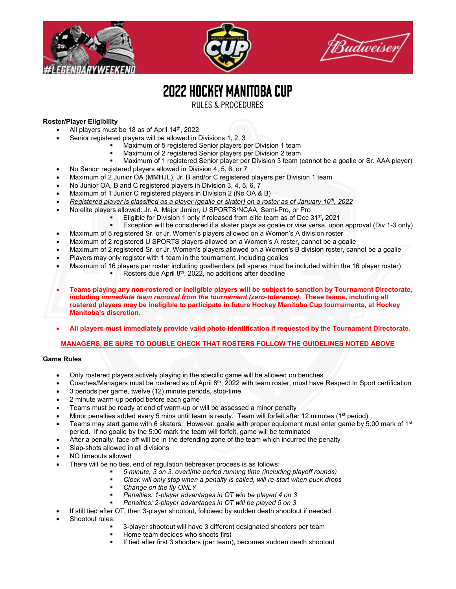





# 2022HOCKEY MANITOBA CUP

RULES & PROCEDURES

# **Roster/Player Eligibility**

- All players must be 18 as of April 14<sup>th</sup>, 2022
- Senior registered players will be allowed in Divisions 1, 2, 3
	- Maximum of 5 registered Senior players per Division 1 team
	- Maximum of 2 registered Senior players per Division 2 team
	- Maximum of 1 registered Senior player per Division 3 team (cannot be a goalie or Sr. AAA player)
- No Senior registered players allowed in Division 4, 5, 6, or 7
- Maximum of 2 Junior OA (MMHJL), Jr. B and/or C registered players per Division 1 team
- No Junior OA, B and C registered players in Division 3, 4, 5, 6, 7
- Maximum of 1 Junior C registered players in Division 2 (No OA & B)
- *Registered player is classified as a player (goalie or skater) on a roster as of January 10th, 2022*
- No elite players allowed: Jr. A, Major Junior, U SPORTS/NCAA, Semi-Pro, or Pro
	- Eligible for Division 1 only if released from elite team as of Dec 31<sup>st</sup>, 2021
		- Exception will be considered if a skater plays as goalie or vise versa, upon approval (Div 1-3 only)
- Maximum of 5 registered Sr. or Jr. Women's players allowed on a Women's A division roster
- Maximum of 2 registered U SPORTS players allowed on a Women's A roster, cannot be a goalie
- Maximum of 2 registered Sr. or Jr. Women's players allowed on a Women's B division roster, cannot be a goalie
- Players may only register with 1 team in the tournament, including goalies
- Maximum of 16 players per roster including goaltenders (all spares must be included within the 16 player roster)
	- Rosters due April  $8<sup>th</sup>$ , 2022, no additions after deadline
- **Teams playing any non-rostered or ineligible players will be subject to sanction by Tournament Directorate, including** *immediate team removal from the tournament (zero-tolerance).* **These teams, including all rostered players may be ineligible to participate in future Hockey Manitoba Cup tournaments, at Hockey Manitoba's discretion.**
- **All players must immediately provide valid photo identification if requested by the Tournament Directorate.**

# **MANAGERS, BE SURE TO DOUBLE CHECK THAT ROSTERS FOLLOW THE GUIDELINES NOTED ABOVE**

# **Game Rules**

- Only rostered players actively playing in the specific game will be allowed on benches
- Coaches/Managers must be rostered as of April 8<sup>th</sup>, 2022 with team roster, must have Respect In Sport certification
- 3 periods per game, twelve (12) minute periods, stop-time
- 2 minute warm-up period before each game
- Teams must be ready at end of warm-up or will be assessed a minor penalty
- Minor penalties added every 5 mins until team is ready. Team will forfeit after 12 minutes (1<sup>st</sup> period)
- Teams may start game with 6 skaters. However, goalie with proper equipment must enter game by 5:00 mark of 1<sup>st</sup> period. If no goalie by the 5:00 mark the team will forfeit, game will be terminated
- After a penalty, face-off will be in the defending zone of the team which incurred the penalty
- Slap-shots allowed in all divisions
- NO timeouts allowed
	- There will be no ties, end of regulation tiebreaker process is as follows:
		- *5 minute, 3 on 3, overtime period running time (including playoff rounds)*
		- *Clock will only stop when a penalty is called, will re-start when puck drops*
		- *Change on the fly ONLY*
		- *Penalties: 1-player advantages in OT win be played 4 on 3*
		- *Penalties: 2-player advantages in OT will be played 5 on 3*
- If still tied after OT, then 3-player shootout, followed by sudden death shootout if needed
- Shootout rules;
	- 3-player shootout will have 3 different designated shooters per team
	- Home team decides who shoots first
	- If tied after first 3 shooters (per team), becomes sudden death shootout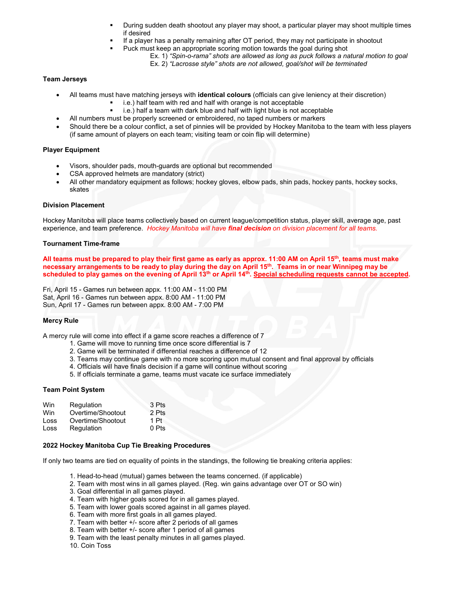- During sudden death shootout any player may shoot, a particular player may shoot multiple times if desired
- If a player has a penalty remaining after OT period, they may not participate in shootout
- Puck must keep an appropriate scoring motion towards the goal during shot
	- Ex. 1) *"Spin-o-rama" shots are allowed as long as puck follows a natural motion to goal*
		- Ex. 2) *"Lacrosse style" shots are not allowed, goal/shot will be terminated*

## **Team Jerseys**

- All teams must have matching jerseys with **identical colours** (officials can give leniency at their discretion)
	- **i.e.)** half team with red and half with orange is not acceptable
	- i.e.) half a team with dark blue and half with light blue is not acceptable
	- All numbers must be properly screened or embroidered, no taped numbers or markers
- Should there be a colour conflict, a set of pinnies will be provided by Hockey Manitoba to the team with less players (if same amount of players on each team; visiting team or coin flip will determine)

#### **Player Equipment**

- Visors, shoulder pads, mouth-guards are optional but recommended
- CSA approved helmets are mandatory (strict)
- All other mandatory equipment as follows; hockey gloves, elbow pads, shin pads, hockey pants, hockey socks, skates

# **Division Placement**

Hockey Manitoba will place teams collectively based on current league/competition status, player skill, average age, past experience, and team preference. *Hockey Manitoba will have final decision on division placement for all teams.*

#### **Tournament Time-frame**

**All teams must be prepared to play their first game as early as approx. 11:00 AM on April 15th, teams must make necessary arrangements to be ready to play during the day on April 15th. Teams in or near Winnipeg may be scheduled to play games on the evening of April 13th or April 14th. Special scheduling requests cannot be accepted.**

Fri, April 15 - Games run between appx. 11:00 AM - 11:00 PM Sat, April 16 - Games run between appx. 8:00 AM - 11:00 PM Sun, April 17 - Games run between appx. 8:00 AM - 7:00 PM

#### **Mercy Rule**

A mercy rule will come into effect if a game score reaches a difference of 7

- 1. Game will move to running time once score differential is 7
- 2. Game will be terminated if differential reaches a difference of 12
- 3. Teams may continue game with no more scoring upon mutual consent and final approval by officials
- 4. Officials will have finals decision if a game will continue without scoring
- 5. If officials terminate a game, teams must vacate ice surface immediately

#### **Team Point System**

| Win  | Regulation        | 3 Pts   |
|------|-------------------|---------|
| Win  | Overtime/Shootout | 2 Pts   |
| Loss | Overtime/Shootout | 1 Pt    |
| Loss | Regulation        | $0$ Pts |

#### **2022 Hockey Manitoba Cup Tie Breaking Procedures**

If only two teams are tied on equality of points in the standings, the following tie breaking criteria applies:

- 1. Head-to-head (mutual) games between the teams concerned. (if applicable)
- 2. Team with most wins in all games played. (Reg. win gains advantage over OT or SO win)
- 3. Goal differential in all games played.
- 4. Team with higher goals scored for in all games played.
- 5. Team with lower goals scored against in all games played.
- 6. Team with more first goals in all games played.
- 7. Team with better +/- score after 2 periods of all games
- 8. Team with better +/- score after 1 period of all games
- 9. Team with the least penalty minutes in all games played.
- 10. Coin Toss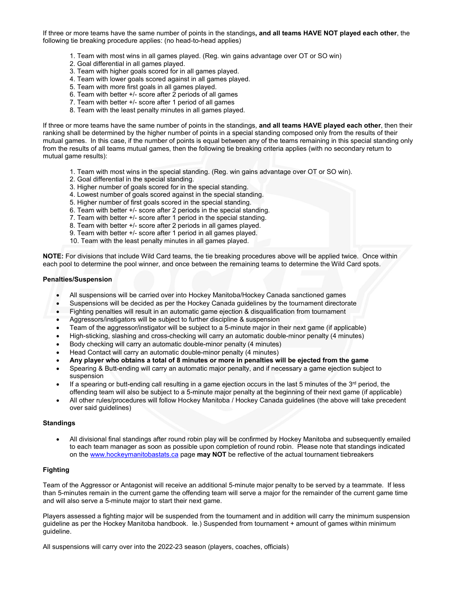If three or more teams have the same number of points in the standings**, and all teams HAVE NOT played each other**, the following tie breaking procedure applies: (no head-to-head applies)

- 1. Team with most wins in all games played. (Reg. win gains advantage over OT or SO win)
- 2. Goal differential in all games played.
- 3. Team with higher goals scored for in all games played.
- 4. Team with lower goals scored against in all games played.
- 5. Team with more first goals in all games played.
- 6. Team with better +/- score after 2 periods of all games
- 7. Team with better +/- score after 1 period of all games
- 8. Team with the least penalty minutes in all games played.

If three or more teams have the same number of points in the standings, **and all teams HAVE played each other**, then their ranking shall be determined by the higher number of points in a special standing composed only from the results of their mutual games. In this case, if the number of points is equal between any of the teams remaining in this special standing only from the results of all teams mutual games, then the following tie breaking criteria applies (with no secondary return to mutual game results):

- 1. Team with most wins in the special standing. (Reg. win gains advantage over OT or SO win).
- 2. Goal differential in the special standing.
- 3. Higher number of goals scored for in the special standing.
- 4. Lowest number of goals scored against in the special standing.
- 5. Higher number of first goals scored in the special standing.
- 6. Team with better +/- score after 2 periods in the special standing.
- 7. Team with better +/- score after 1 period in the special standing.
- 8. Team with better +/- score after 2 periods in all games played.
- 9. Team with better +/- score after 1 period in all games played.
- 10. Team with the least penalty minutes in all games played.

**NOTE:** For divisions that include Wild Card teams, the tie breaking procedures above will be applied twice. Once within each pool to determine the pool winner, and once between the remaining teams to determine the Wild Card spots.

#### **Penalties/Suspension**

- All suspensions will be carried over into Hockey Manitoba/Hockey Canada sanctioned games
- Suspensions will be decided as per the Hockey Canada guidelines by the tournament directorate
- Fighting penalties will result in an automatic game ejection & disqualification from tournament
- Aggressors/instigators will be subject to further discipline & suspension
- Team of the aggressor/instigator will be subject to a 5-minute major in their next game (if applicable)
- High-sticking, slashing and cross-checking will carry an automatic double-minor penalty (4 minutes)
- Body checking will carry an automatic double-minor penalty (4 minutes)
- Head Contact will carry an automatic double-minor penalty (4 minutes)
- **Any player who obtains a total of 8 minutes or more in penalties will be ejected from the game**
- Spearing & Butt-ending will carry an automatic major penalty, and if necessary a game ejection subject to suspension
- $\bullet$  If a spearing or butt-ending call resulting in a game ejection occurs in the last 5 minutes of the 3<sup>rd</sup> period, the offending team will also be subject to a 5-minute major penalty at the beginning of their next game (if applicable)
- All other rules/procedures will follow Hockey Manitoba / Hockey Canada guidelines (the above will take precedent over said guidelines)

#### **Standings**

• All divisional final standings after round robin play will be confirmed by Hockey Manitoba and subsequently emailed to each team manager as soon as possible upon completion of round robin. Please note that standings indicated on the [www.hockeymanitobastats.ca](http://www.hockeymanitobastats.ca/) page **may NOT** be reflective of the actual tournament tiebreakers

# **Fighting**

Team of the Aggressor or Antagonist will receive an additional 5-minute major penalty to be served by a teammate. If less than 5-minutes remain in the current game the offending team will serve a major for the remainder of the current game time and will also serve a 5-minute major to start their next game.

Players assessed a fighting major will be suspended from the tournament and in addition will carry the minimum suspension guideline as per the Hockey Manitoba handbook. Ie.) Suspended from tournament + amount of games within minimum guideline.

All suspensions will carry over into the 2022-23 season (players, coaches, officials)